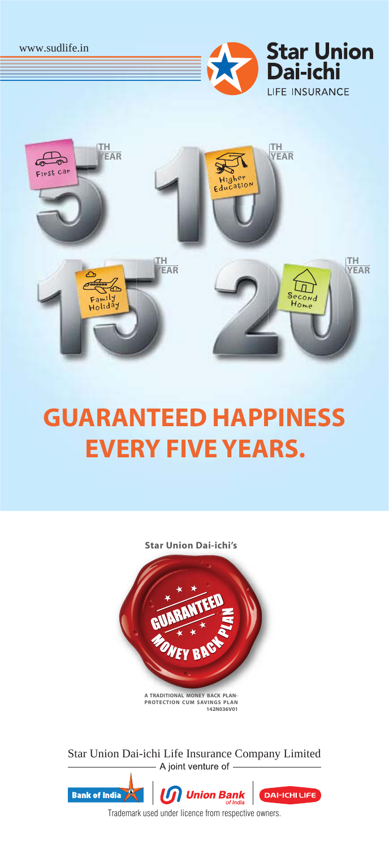



# **GUARANTEED HAPPINESS EVERY FIVE YEARS.**

**Star Union Dai-ichi's**



**A TRADITIONAL MONEY BACK PLAN-PROTECTION CUM SAVINGS PLAN 142N036V01**

Star Union Dai-ichi Life Insurance Company Limited



Trademark used under licence from respective owners.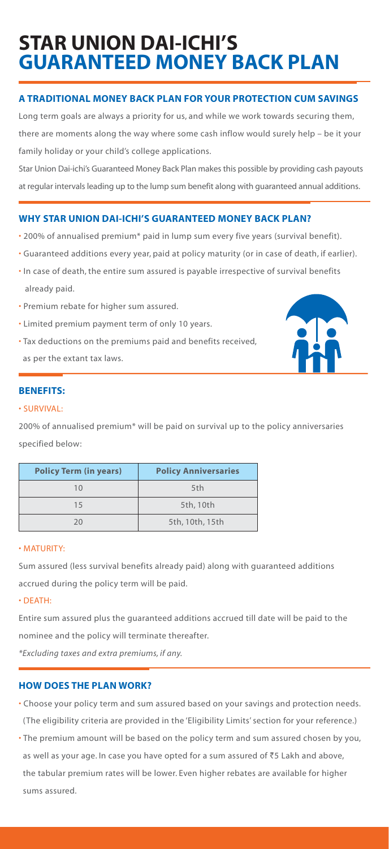# **STAR UNION DAI-ICHI'S GUARANTEED MONEY BACK PLAN**

# **A TRADITIONAL MONEY BACK PLAN FOR YOUR PROTECTION CUM SAVINGS**

Long term goals are always a priority for us, and while we work towards securing them, there are moments along the way where some cash inflow would surely help – be it your family holiday or your child's college applications.

Star Union Dai-ichi's Guaranteed Money Back Plan makes this possible by providing cash payouts at regular intervals leading up to the lump sum benefit along with guaranteed annual additions.

# **WHY STAR UNION DAI-ICHI'S GUARANTEED MONEY BACK PLAN?**

- 200% of annualised premium\* paid in lump sum every five years (survival benefit).
- Guaranteed additions every year, paid at policy maturity (or in case of death, if earlier).
- In case of death, the entire sum assured is payable irrespective of survival benefits already paid.
- Premium rebate for higher sum assured.
- Limited premium payment term of only 10 years.
- Tax deductions on the premiums paid and benefits received,

as per the extant tax laws.



# **BENEFITS:**

# • SURVIVAL:

200% of annualised premium\* will be paid on survival up to the policy anniversaries specified below:

| <b>Policy Term (in years)</b> | <b>Policy Anniversaries</b> |  |
|-------------------------------|-----------------------------|--|
| 10                            | 5th                         |  |
| 15                            | 5th, 10th                   |  |
| 20                            | 5th, 10th, 15th             |  |

# • MATURITY:

Sum assured (less survival benefits already paid) along with guaranteed additions accrued during the policy term will be paid.

# • DEATH:

Entire sum assured plus the guaranteed additions accrued till date will be paid to the nominee and the policy will terminate thereafter.

*\*Excluding taxes and extra premiums, if any.*

# **HOW DOES THE PLAN WORK?**

- Choose your policy term and sum assured based on your savings and protection needs. (The eligibility criteria are provided in the 'Eligibility Limits' section for your reference.)
- The premium amount will be based on the policy term and sum assured chosen by you, as well as your age. In case you have opted for a sum assured of ₹5 Lakh and above, the tabular premium rates will be lower. Even higher rebates are available for higher sums assured.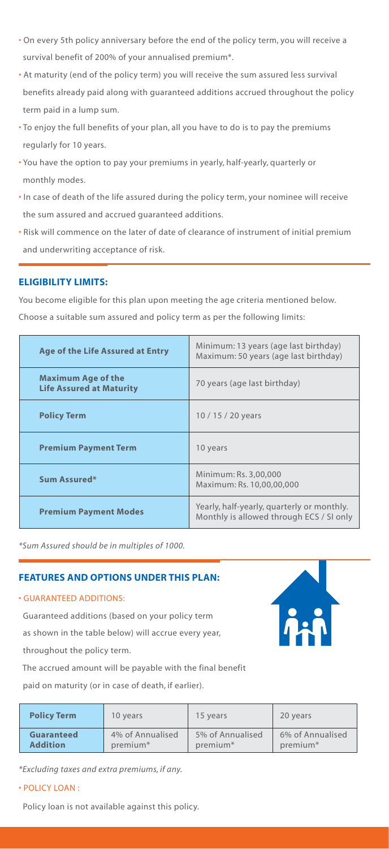- On every 5th policy anniversary before the end of the policy term, you will receive a survival benefit of 200% of your annualised premium\*.
- At maturity (end of the policy term) you will receive the sum assured less survival benefits already paid along with guaranteed additions accrued throughout the policy term paid in a lump sum.
- To enjoy the full benefits of your plan, all you have to do is to pay the premiums regularly for 10 years.
- You have the option to pay your premiums in yearly, half-yearly, quarterly or monthly modes.
- In case of death of the life assured during the policy term, your nominee will receive the sum assured and accrued guaranteed additions.
- Risk will commence on the later of date of clearance of instrument of initial premium and underwriting acceptance of risk.

# **ELIGIBILITY LIMITS:**

You become eligible for this plan upon meeting the age criteria mentioned below.

Choose a suitable sum assured and policy term as per the following limits:

| Age of the Life Assured at Entry                             | Minimum: 13 years (age last birthday)<br>Maximum: 50 years (age last birthday)         |  |
|--------------------------------------------------------------|----------------------------------------------------------------------------------------|--|
| <b>Maximum Age of the</b><br><b>Life Assured at Maturity</b> | 70 years (age last birthday)                                                           |  |
| <b>Policy Term</b>                                           | 10/15/20 years                                                                         |  |
| <b>Premium Payment Term</b>                                  | 10 years                                                                               |  |
| Sum Assured*                                                 | Minimum: Rs. 3,00,000<br>Maximum: Rs. 10,00,00,000                                     |  |
| <b>Premium Payment Modes</b>                                 | Yearly, half-yearly, quarterly or monthly.<br>Monthly is allowed through ECS / SI only |  |

*\*Sum Assured should be in multiples of 1000.*

# **FEATURES AND OPTIONS UNDER THIS PLAN:**

# • GUARANTEED ADDITIONS:

 Guaranteed additions (based on your policy term as shown in the table below) will accrue every year, throughout the policy term.

 The accrued amount will be payable with the final benefit paid on maturity (or in case of death, if earlier).

| <b>Policy Term</b>                                                        | 10 years | 15 years                                 | 20 years                                 |
|---------------------------------------------------------------------------|----------|------------------------------------------|------------------------------------------|
| 4% of Annualised<br>Guaranteed<br><b>Addition</b><br>premium <sup>*</sup> |          | 5% of Annualised<br>premium <sup>*</sup> | 6% of Annualised<br>premium <sup>*</sup> |

*\*Excluding taxes and extra premiums, if any.*

# • POLICY LOAN :

Policy loan is not available against this policy.

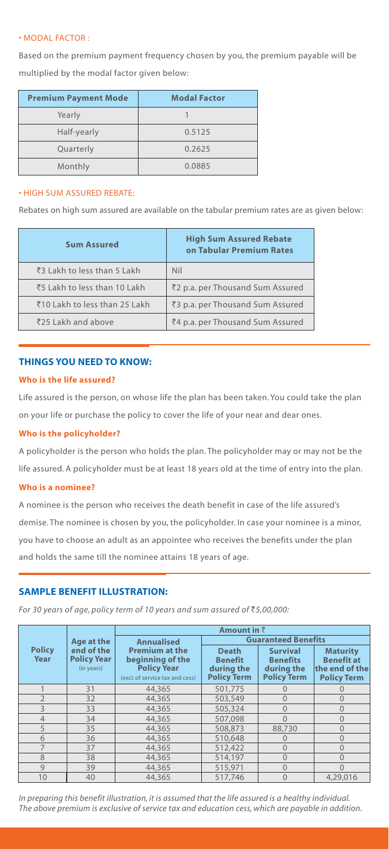# • MODAL FACTOR :

Based on the premium payment frequency chosen by you, the premium payable will be multiplied by the modal factor given below:

| <b>Premium Payment Mode</b> | <b>Modal Factor</b> |  |
|-----------------------------|---------------------|--|
| Yearly                      |                     |  |
| Half-yearly                 | 0.5125              |  |
| Quarterly                   | 0.2625              |  |
| Monthly                     | 0.0885              |  |

#### • HIGH SUM ASSURED REBATE:

Rebates on high sum assured are available on the tabular premium rates are as given below:

| <b>Sum Assured</b>            | <b>High Sum Assured Rebate</b><br>on Tabular Premium Rates |  |
|-------------------------------|------------------------------------------------------------|--|
| ₹3 Lakh to less than 5 Lakh   | Nil                                                        |  |
| ₹5 Lakh to less than 10 Lakh  | ₹2 p.a. per Thousand Sum Assured                           |  |
| ₹10 Lakh to less than 25 Lakh | ₹3 p.a. per Thousand Sum Assured                           |  |
| ₹25 Lakh and above            | ₹4 p.a. per Thousand Sum Assured                           |  |

# **THINGS YOU NEED TO KNOW:**

#### **Who is the life assured?**

Life assured is the person, on whose life the plan has been taken. You could take the plan on your life or purchase the policy to cover the life of your near and dear ones.

#### **Who is the policyholder?**

A policyholder is the person who holds the plan. The policyholder may or may not be the life assured. A policyholder must be at least 18 years old at the time of entry into the plan.

#### **Who is a nominee?**

A nominee is the person who receives the death benefit in case of the life assured's demise. The nominee is chosen by you, the policyholder. In case your nominee is a minor, you have to choose an adult as an appointee who receives the benefits under the plan and holds the same till the nominee attains 18 years of age.

# **SAMPLE BENEFIT ILLUSTRATION:**

*For 30 years of age, policy term of 10 years and sum assured of* `*5,00,000:*

|                          |                                                | Amount in $\bar{z}$                                                                                |                                                                    |                                                                        |                                                                              |
|--------------------------|------------------------------------------------|----------------------------------------------------------------------------------------------------|--------------------------------------------------------------------|------------------------------------------------------------------------|------------------------------------------------------------------------------|
|                          | Age at the                                     | <b>Guaranteed Benefits</b><br><b>Annualised</b>                                                    |                                                                    |                                                                        |                                                                              |
| <b>Policy</b><br>Year    | end of the<br><b>Policy Year</b><br>(in years) | <b>Premium at the</b><br>beginning of the<br><b>Policy Year</b><br>(excl. of service tax and cess) | <b>Death</b><br><b>Benefit</b><br>during the<br><b>Policy Term</b> | <b>Survival</b><br><b>Benefits</b><br>during the<br><b>Policy Term</b> | <b>Maturity</b><br><b>Benefit at</b><br>the end of the<br><b>Policy Term</b> |
|                          | 31                                             | 44,365                                                                                             | 501,775                                                            | $\Omega$                                                               | $\Omega$                                                                     |
| $\overline{2}$           | 32                                             | 44,365                                                                                             | 503,549                                                            | $\Omega$                                                               | $\Omega$                                                                     |
| $\overline{\mathcal{L}}$ | 33                                             | 44,365                                                                                             | 505,324                                                            | $\Omega$                                                               | $\Omega$                                                                     |
| $\overline{4}$           | 34                                             | 44,365                                                                                             | 507.098                                                            | $\Omega$                                                               | $\Omega$                                                                     |
| 5                        | 35                                             | 44,365                                                                                             | 508,873                                                            | 88,730                                                                 | $\Omega$                                                                     |
| 6                        | 36                                             | 44,365                                                                                             | 510,648                                                            | $\Omega$                                                               | $\Omega$                                                                     |
|                          | 37                                             | 44,365                                                                                             | 512,422                                                            | $\Omega$                                                               | $\Omega$                                                                     |
| 8                        | 38                                             | 44,365                                                                                             | 514,197                                                            | $\Omega$                                                               | $\Omega$                                                                     |
| $\mathbf{Q}$             | 39                                             | 44,365                                                                                             | 515,971                                                            | $\Omega$                                                               | $\Omega$                                                                     |
| 10                       | 40                                             | 44,365                                                                                             | 517,746                                                            | $\Omega$                                                               | 4,29,016                                                                     |

*In preparing this benefit illustration, it is assumed that the life assured is a healthy individual. The above premium is exclusive of service tax and education cess, which are payable in addition.*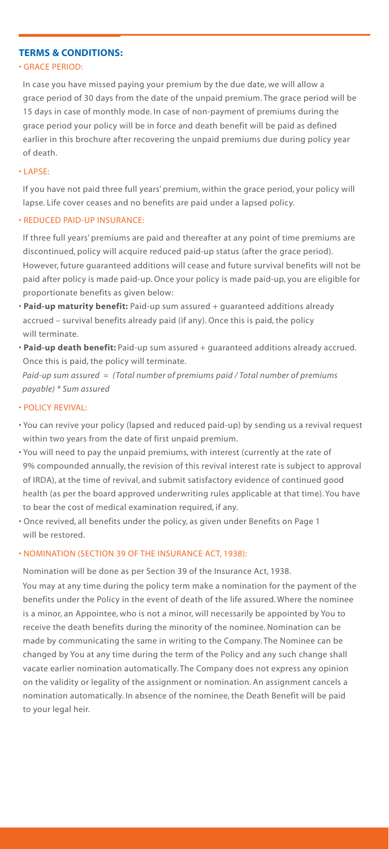# **TERMS & CONDITIONS:**

# • GRACE PERIOD:

 In case you have missed paying your premium by the due date, we will allow a grace period of 30 days from the date of the unpaid premium. The grace period will be 15 days in case of monthly mode. In case of non-payment of premiums during the grace period your policy will be in force and death benefit will be paid as defined earlier in this brochure after recovering the unpaid premiums due during policy year of death.

#### • LAPSE:

 If you have not paid three full years' premium, within the grace period, your policy will lapse. Life cover ceases and no benefits are paid under a lapsed policy.

#### • REDUCED PAID-UP INSURANCE:

 If three full years' premiums are paid and thereafter at any point of time premiums are discontinued, policy will acquire reduced paid-up status (after the grace period). However, future guaranteed additions will cease and future survival benefits will not be paid after policy is made paid-up. Once your policy is made paid-up, you are eligible for proportionate benefits as given below:

- **Paid-up maturity benefit:** Paid-up sum assured + guaranteed additions already accrued – survival benefits already paid (if any). Once this is paid, the policy will terminate.
- **Paid-up death benefit:** Paid-up sum assured + guaranteed additions already accrued. Once this is paid, the policy will terminate.

 *Paid-up sum assured = (Total number of premiums paid / Total number of premiums payable) \* Sum assured*

#### • POLICY REVIVAL:

- You can revive your policy (lapsed and reduced paid-up) by sending us a revival request within two years from the date of first unpaid premium.
- You will need to pay the unpaid premiums, with interest (currently at the rate of 9% compounded annually, the revision of this revival interest rate is subject to approval of IRDA), at the time of revival, and submit satisfactory evidence of continued good health (as per the board approved underwriting rules applicable at that time). You have to bear the cost of medical examination required, if any.
- Once revived, all benefits under the policy, as given under Benefits on Page 1 will be restored.

#### • NOMINATION (SECTION 39 OF THE INSURANCE ACT, 1938):

Nomination will be done as per Section 39 of the Insurance Act, 1938.

 You may at any time during the policy term make a nomination for the payment of the benefits under the Policy in the event of death of the life assured. Where the nominee is a minor, an Appointee, who is not a minor, will necessarily be appointed by You to receive the death benefits during the minority of the nominee. Nomination can be made by communicating the same in writing to the Company. The Nominee can be changed by You at any time during the term of the Policy and any such change shall vacate earlier nomination automatically. The Company does not express any opinion on the validity or legality of the assignment or nomination. An assignment cancels a nomination automatically. In absence of the nominee, the Death Benefit will be paid to your legal heir.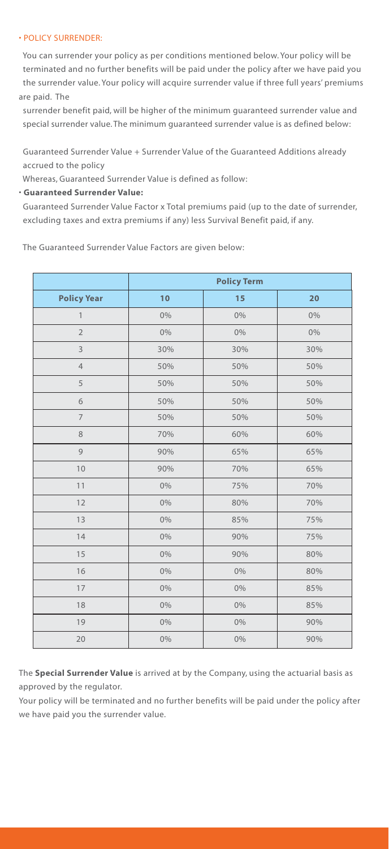### • POLICY SURRENDER:

 You can surrender your policy as per conditions mentioned below. Your policy will be terminated and no further benefits will be paid under the policy after we have paid you the surrender value. Your policy will acquire surrender value if three full years' premiums are paid. The

 surrender benefit paid, will be higher of the minimum guaranteed surrender value and special surrender value. The minimum guaranteed surrender value is as defined below:

 Guaranteed Surrender Value + Surrender Value of the Guaranteed Additions already accrued to the policy

Whereas, Guaranteed Surrender Value is defined as follow:

# • **Guaranteed Surrender Value:**

 Guaranteed Surrender Value Factor x Total premiums paid (up to the date of surrender, excluding taxes and extra premiums if any) less Survival Benefit paid, if any.

The Guaranteed Surrender Value Factors are given below:

|                    | <b>Policy Term</b> |       |       |
|--------------------|--------------------|-------|-------|
| <b>Policy Year</b> | 10                 | 15    | 20    |
| $\mathbf{1}$       | 0%                 | $0\%$ | 0%    |
| $\overline{2}$     | 0%                 | 0%    | $0\%$ |
| 3                  | 30%                | 30%   | 30%   |
| $\overline{4}$     | 50%                | 50%   | 50%   |
| 5                  | 50%                | 50%   | 50%   |
| 6                  | 50%                | 50%   | 50%   |
| $\overline{7}$     | 50%                | 50%   | 50%   |
| 8                  | 70%                | 60%   | 60%   |
| 9                  | 90%                | 65%   | 65%   |
| 10                 | 90%                | 70%   | 65%   |
| 11                 | 0%                 | 75%   | 70%   |
| 12                 | 0%                 | 80%   | 70%   |
| 13                 | 0%                 | 85%   | 75%   |
| 14                 | 0%                 | 90%   | 75%   |
| 15                 | 0%                 | 90%   | 80%   |
| 16                 | $0\%$              | 0%    | 80%   |
| 17                 | 0%                 | 0%    | 85%   |
| 18                 | 0%                 | 0%    | 85%   |
| 19                 | 0%                 | $0\%$ | 90%   |
| 20                 | 0%                 | 0%    | 90%   |

The **Special Surrender Value** is arrived at by the Company, using the actuarial basis as approved by the regulator.

Your policy will be terminated and no further benefits will be paid under the policy after we have paid you the surrender value.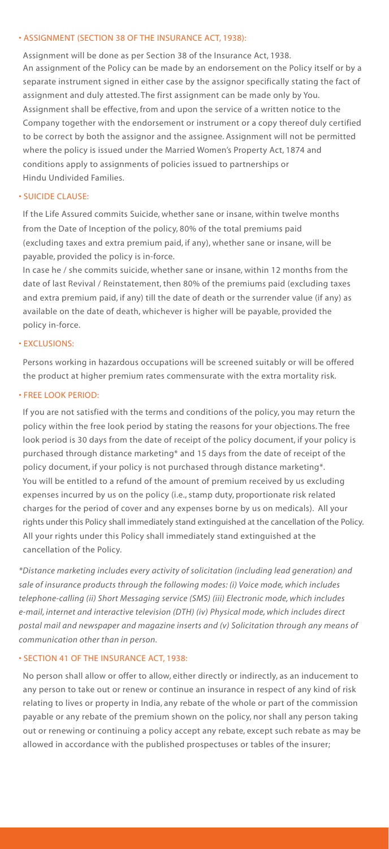#### • ASSIGNMENT (SECTION 38 OF THE INSURANCE ACT, 1938):

 Assignment will be done as per Section 38 of the Insurance Act, 1938. An assignment of the Policy can be made by an endorsement on the Policy itself or by a separate instrument signed in either case by the assignor specifically stating the fact of assignment and duly attested. The first assignment can be made only by You. Assignment shall be effective, from and upon the service of a written notice to the Company together with the endorsement or instrument or a copy thereof duly certified to be correct by both the assignor and the assignee. Assignment will not be permitted where the policy is issued under the Married Women's Property Act, 1874 and conditions apply to assignments of policies issued to partnerships or Hindu Undivided Families.

#### • SUICIDE CLAUSE:

 If the Life Assured commits Suicide, whether sane or insane, within twelve months from the Date of Inception of the policy, 80% of the total premiums paid (excluding taxes and extra premium paid, if any), whether sane or insane, will be payable, provided the policy is in-force.

 In case he / she commits suicide, whether sane or insane, within 12 months from the date of last Revival / Reinstatement, then 80% of the premiums paid (excluding taxes and extra premium paid, if any) till the date of death or the surrender value (if any) as available on the date of death, whichever is higher will be payable, provided the policy in-force.

#### • EXCLUSIONS:

 Persons working in hazardous occupations will be screened suitably or will be offered the product at higher premium rates commensurate with the extra mortality risk.

#### • FREE LOOK PERIOD:

 If you are not satisfied with the terms and conditions of the policy, you may return the policy within the free look period by stating the reasons for your objections. The free look period is 30 days from the date of receipt of the policy document, if your policy is purchased through distance marketing\* and 15 days from the date of receipt of the policy document, if your policy is not purchased through distance marketing\*. You will be entitled to a refund of the amount of premium received by us excluding expenses incurred by us on the policy (i.e., stamp duty, proportionate risk related charges for the period of cover and any expenses borne by us on medicals). All your rights under this Policy shall immediately stand extinguished at the cancellation of the Policy. All your rights under this Policy shall immediately stand extinguished at the cancellation of the Policy.

*\*Distance marketing includes every activity of solicitation (including lead generation) and sale of insurance products through the following modes: (i) Voice mode, which includes telephone-calling (ii) Short Messaging service (SMS) (iii) Electronic mode, which includes e-mail, internet and interactive television (DTH) (iv) Physical mode, which includes direct postal mail and newspaper and magazine inserts and (v) Solicitation through any means of communication other than in person.*

### • SECTION 41 OF THE INSURANCE ACT, 1938:

 No person shall allow or offer to allow, either directly or indirectly, as an inducement to any person to take out or renew or continue an insurance in respect of any kind of risk relating to lives or property in India, any rebate of the whole or part of the commission payable or any rebate of the premium shown on the policy, nor shall any person taking out or renewing or continuing a policy accept any rebate, except such rebate as may be allowed in accordance with the published prospectuses or tables of the insurer;